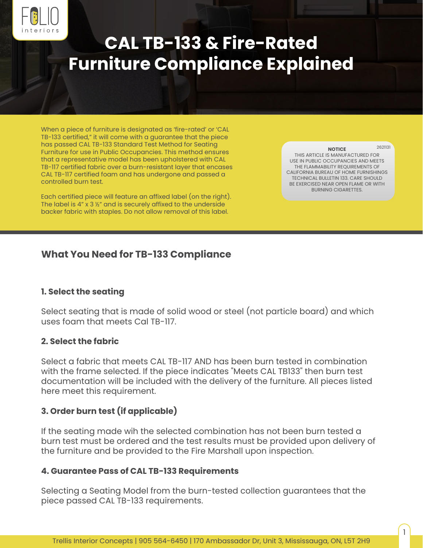

# **CAL TB-133 & Fire-Rated Furniture Compliance Explained**

When a piece of furniture is designated as 'fire-rated' or 'CAL TB-133 certified," it will come with a guarantee that the piece has passed CAL TB-133 Standard Test Method for Seating Furniture for use in Public Occupancies. This method ensures that a representative model has been upholstered with CAL TB-117 certified fabric over a burn-resistant layer that encases CAL TB-117 certified foam and has undergone and passed a controlled burn test.

Each certified piece will feature an affixed label (on the right). The label is 4" x 3 ½" and is securely affixed to the underside backer fabric with staples. Do not allow removal of this label.

**NOTICE** THIS ARTICLE IS MANUFACTURED FOR USE IN PUBLIC OCCUPANCIES AND MEETS THE FLAMMABILITY REQUIREMENTS OF CALIFORNIA BUREAU OF HOME FURNISHINGS TECHNICAL BULLETIN 133. CARE SHOULD BE EXERCISED NEAR OPEN FLAME OR WITH BURNING CIGARETTES. 2621131

1

# **What You Need for TB-133 Compliance**

## **1. Select the seating**

Select seating that is made of solid wood or steel (not particle board) and which uses foam that meets Cal TB-117.

## **2. Select the fabric**

Select a fabric that meets CAL TB-117 AND has been burn tested in combination with the frame selected. If the piece indicates "Meets CAL TB133" then burn test documentation will be included with the delivery of the furniture. All pieces listed here meet this requirement.

# **3. Order burn test (if applicable)**

If the seating made wih the selected combination has not been burn tested a burn test must be ordered and the test results must be provided upon delivery of the furniture and be provided to the Fire Marshall upon inspection.

## **4. Guarantee Pass of CAL TB-133 Requirements**

Selecting a Seating Model from the burn-tested collection guarantees that the piece passed CAL TB-133 requirements.